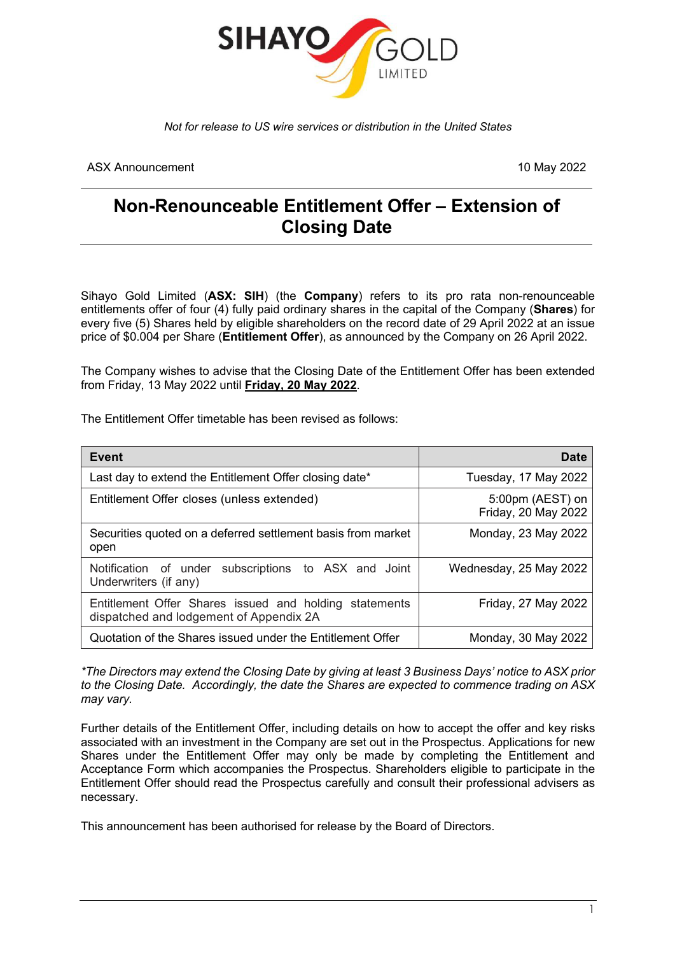

*Not for release to US wire services or distribution in the United States*

ASX Announcement 10 May 2022

## **Non-Renounceable Entitlement Offer – Extension of Closing Date**

Sihayo Gold Limited (**ASX: SIH**) (the **Company**) refers to its pro rata non-renounceable entitlements offer of four (4) fully paid ordinary shares in the capital of the Company (**Shares**) for every five (5) Shares held by eligible shareholders on the record date of 29 April 2022 at an issue price of \$0.004 per Share (**Entitlement Offer**), as announced by the Company on 26 April 2022.

The Company wishes to advise that the Closing Date of the Entitlement Offer has been extended from Friday, 13 May 2022 until **Friday, 20 May 2022**.

The Entitlement Offer timetable has been revised as follows:

| Event                                                                                             | Date                                    |
|---------------------------------------------------------------------------------------------------|-----------------------------------------|
| Last day to extend the Entitlement Offer closing date*                                            | Tuesday, 17 May 2022                    |
| Entitlement Offer closes (unless extended)                                                        | 5:00pm (AEST) on<br>Friday, 20 May 2022 |
| Securities quoted on a deferred settlement basis from market<br>open                              | Monday, 23 May 2022                     |
| Notification of under subscriptions to ASX and Joint<br>Underwriters (if any)                     | Wednesday, 25 May 2022                  |
| Entitlement Offer Shares issued and holding statements<br>dispatched and lodgement of Appendix 2A | Friday, 27 May 2022                     |
| Quotation of the Shares issued under the Entitlement Offer                                        | Monday, 30 May 2022                     |

*\*The Directors may extend the Closing Date by giving at least 3 Business Days' notice to ASX prior to the Closing Date. Accordingly, the date the Shares are expected to commence trading on ASX may vary.*

Further details of the Entitlement Offer, including details on how to accept the offer and key risks associated with an investment in the Company are set out in the Prospectus. Applications for new Shares under the Entitlement Offer may only be made by completing the Entitlement and Acceptance Form which accompanies the Prospectus. Shareholders eligible to participate in the Entitlement Offer should read the Prospectus carefully and consult their professional advisers as necessary.

This announcement has been authorised for release by the Board of Directors.